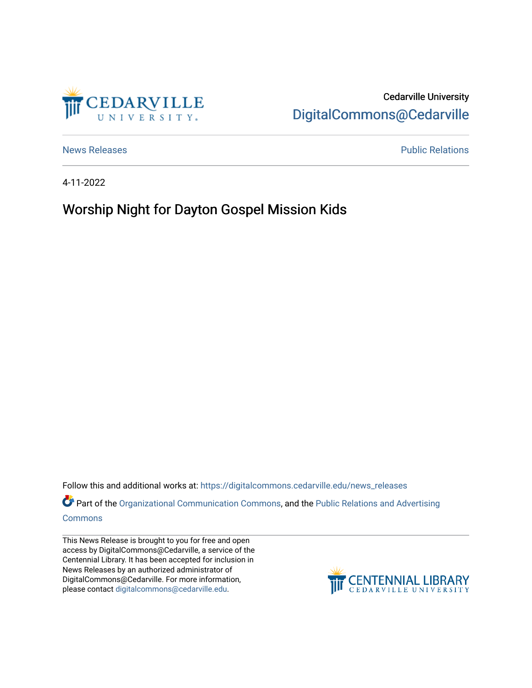

Cedarville University [DigitalCommons@Cedarville](https://digitalcommons.cedarville.edu/) 

[News Releases](https://digitalcommons.cedarville.edu/news_releases) **Public Relations Public Relations** 

4-11-2022

## Worship Night for Dayton Gospel Mission Kids

Follow this and additional works at: [https://digitalcommons.cedarville.edu/news\\_releases](https://digitalcommons.cedarville.edu/news_releases?utm_source=digitalcommons.cedarville.edu%2Fnews_releases%2F1532&utm_medium=PDF&utm_campaign=PDFCoverPages) 

Part of the [Organizational Communication Commons](http://network.bepress.com/hgg/discipline/335?utm_source=digitalcommons.cedarville.edu%2Fnews_releases%2F1532&utm_medium=PDF&utm_campaign=PDFCoverPages), and the Public Relations and Advertising [Commons](http://network.bepress.com/hgg/discipline/336?utm_source=digitalcommons.cedarville.edu%2Fnews_releases%2F1532&utm_medium=PDF&utm_campaign=PDFCoverPages)

This News Release is brought to you for free and open access by DigitalCommons@Cedarville, a service of the Centennial Library. It has been accepted for inclusion in News Releases by an authorized administrator of DigitalCommons@Cedarville. For more information, please contact [digitalcommons@cedarville.edu](mailto:digitalcommons@cedarville.edu).